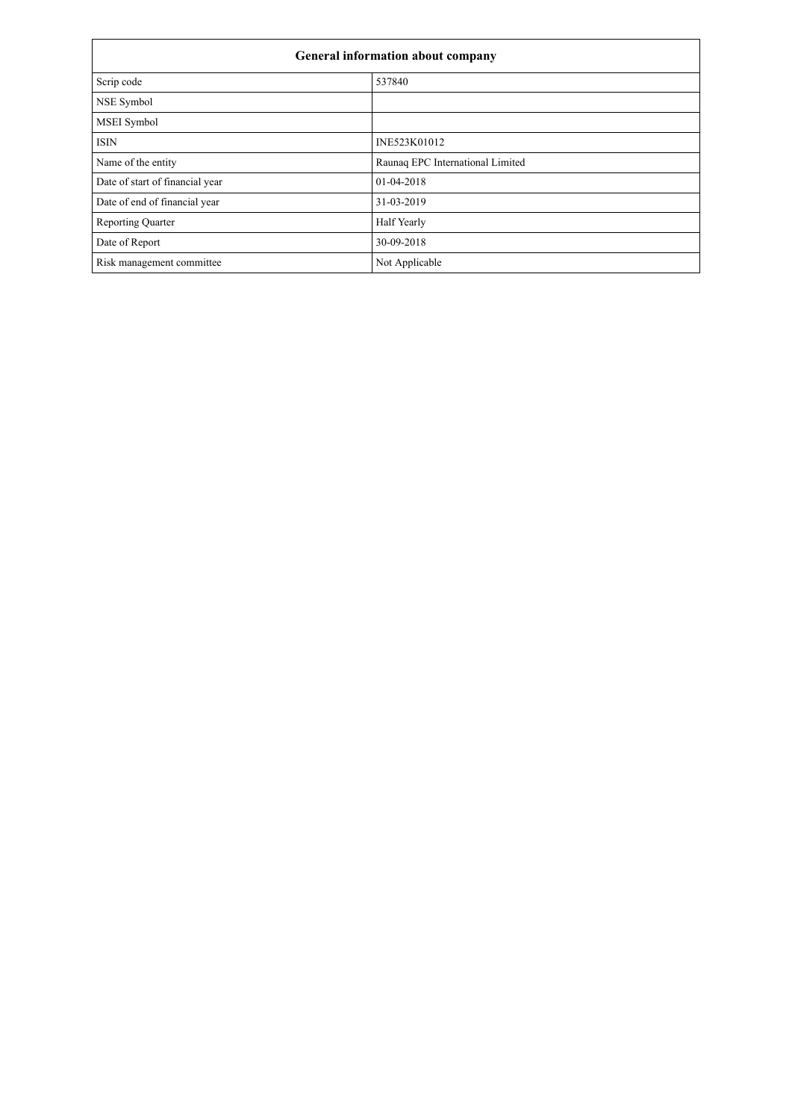| General information about company |                                  |  |  |  |
|-----------------------------------|----------------------------------|--|--|--|
| Scrip code                        | 537840                           |  |  |  |
| NSE Symbol                        |                                  |  |  |  |
| MSEI Symbol                       |                                  |  |  |  |
| <b>ISIN</b>                       | INE523K01012                     |  |  |  |
| Name of the entity                | Raunaq EPC International Limited |  |  |  |
| Date of start of financial year   | 01-04-2018                       |  |  |  |
| Date of end of financial year     | 31-03-2019                       |  |  |  |
| <b>Reporting Quarter</b>          | <b>Half Yearly</b>               |  |  |  |
| Date of Report                    | 30-09-2018                       |  |  |  |
| Risk management committee         | Not Applicable                   |  |  |  |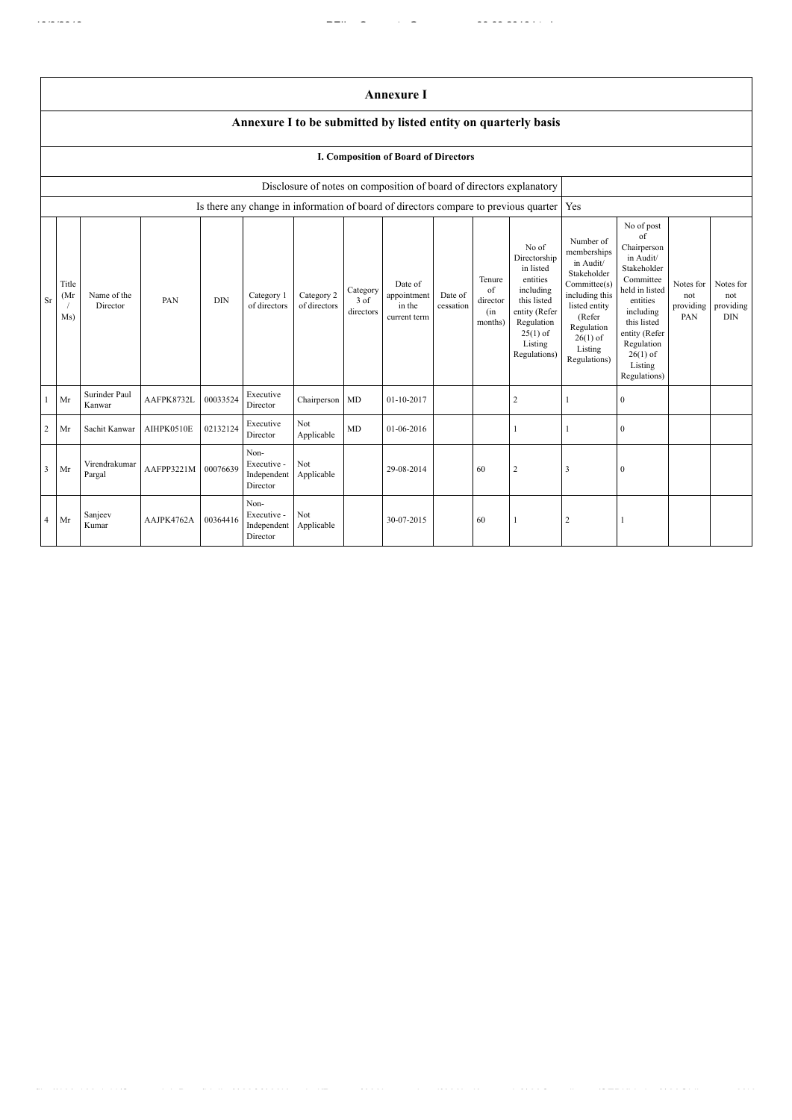|                         |                                                                |                         |            |            |                                                |                            |                               | <b>Annexure I</b>                                                                    |                      |                                            |                                                                                                                                                    |                                                                                                                                                                          |                                                                                                                                                                                                            |                                      |                                             |
|-------------------------|----------------------------------------------------------------|-------------------------|------------|------------|------------------------------------------------|----------------------------|-------------------------------|--------------------------------------------------------------------------------------|----------------------|--------------------------------------------|----------------------------------------------------------------------------------------------------------------------------------------------------|--------------------------------------------------------------------------------------------------------------------------------------------------------------------------|------------------------------------------------------------------------------------------------------------------------------------------------------------------------------------------------------------|--------------------------------------|---------------------------------------------|
|                         | Annexure I to be submitted by listed entity on quarterly basis |                         |            |            |                                                |                            |                               |                                                                                      |                      |                                            |                                                                                                                                                    |                                                                                                                                                                          |                                                                                                                                                                                                            |                                      |                                             |
|                         | I. Composition of Board of Directors                           |                         |            |            |                                                |                            |                               |                                                                                      |                      |                                            |                                                                                                                                                    |                                                                                                                                                                          |                                                                                                                                                                                                            |                                      |                                             |
|                         |                                                                |                         |            |            |                                                |                            |                               | Disclosure of notes on composition of board of directors explanatory                 |                      |                                            |                                                                                                                                                    |                                                                                                                                                                          |                                                                                                                                                                                                            |                                      |                                             |
|                         |                                                                |                         |            |            |                                                |                            |                               | Is there any change in information of board of directors compare to previous quarter |                      |                                            |                                                                                                                                                    | Yes                                                                                                                                                                      |                                                                                                                                                                                                            |                                      |                                             |
| Sr                      | Title<br>(Mr<br>Ms)                                            | Name of the<br>Director | PAN        | <b>DIN</b> | Category 1<br>of directors                     | Category 2<br>of directors | Category<br>3 of<br>directors | Date of<br>appointment<br>in the<br>current term                                     | Date of<br>cessation | Tenure<br>of<br>director<br>(in<br>months) | No of<br>Directorship<br>in listed<br>entities<br>including<br>this listed<br>entity (Refer<br>Regulation<br>$25(1)$ of<br>Listing<br>Regulations) | Number of<br>memberships<br>in Audit/<br>Stakeholder<br>Committee(s)<br>including this<br>listed entity<br>(Refer<br>Regulation<br>$26(1)$ of<br>Listing<br>Regulations) | No of post<br>of<br>Chairperson<br>in Audit/<br>Stakeholder<br>Committee<br>held in listed<br>entities<br>including<br>this listed<br>entity (Refer<br>Regulation<br>$26(1)$ of<br>Listing<br>Regulations) | Notes for<br>not<br>providing<br>PAN | Notes for<br>not<br>providing<br><b>DIN</b> |
| 1                       | Mr                                                             | Surinder Paul<br>Kanwar | AAFPK8732L | 00033524   | Executive<br>Director                          | Chairperson MD             |                               | 01-10-2017                                                                           |                      |                                            | $\sqrt{2}$                                                                                                                                         | $\mathbf{1}$                                                                                                                                                             | $\boldsymbol{0}$                                                                                                                                                                                           |                                      |                                             |
| $\overline{c}$          | Mr                                                             | Sachit Kanwar           | AIHPK0510E | 02132124   | Executive<br>Director                          | Not<br>Applicable          | <b>MD</b>                     | 01-06-2016                                                                           |                      |                                            |                                                                                                                                                    |                                                                                                                                                                          | $\mathbf{0}$                                                                                                                                                                                               |                                      |                                             |
| $\overline{\mathbf{3}}$ | Mr                                                             | Virendrakumar<br>Pargal | AAFPP3221M | 00076639   | Non-<br>Executive -<br>Independent<br>Director | Not<br>Applicable          |                               | 29-08-2014                                                                           |                      | 60                                         | $\overline{c}$                                                                                                                                     | 3                                                                                                                                                                        | $\mathbf{0}$                                                                                                                                                                                               |                                      |                                             |
| 4                       | Mr                                                             | Sanjeev<br>Kumar        | AAJPK4762A | 00364416   | Non-<br>Executive -<br>Independent<br>Director | Not<br>Applicable          |                               | 30-07-2015                                                                           |                      | 60                                         |                                                                                                                                                    | $\overline{2}$                                                                                                                                                           |                                                                                                                                                                                                            |                                      |                                             |

file://192.168.1.11/Secretarial\_Data/Lipika%20&%20Kaushal/Raunaq%20International%20Ltd/quarterly%20Compliance/SEBI(Listing%20Obligat… 2/19

 $\frac{1}{\sqrt{2}}$  . The interpretation of  $\frac{1}{\sqrt{2}}$  ,  $\frac{1}{\sqrt{2}}$  ,  $\frac{1}{\sqrt{2}}$  ,  $\frac{1}{\sqrt{2}}$  ,  $\frac{1}{\sqrt{2}}$  ,  $\frac{1}{\sqrt{2}}$  ,  $\frac{1}{\sqrt{2}}$  ,  $\frac{1}{\sqrt{2}}$  ,  $\frac{1}{\sqrt{2}}$  ,  $\frac{1}{\sqrt{2}}$  ,  $\frac{1}{\sqrt{2}}$  ,  $\frac{1}{\sqrt{2}}$  ,  $\frac{$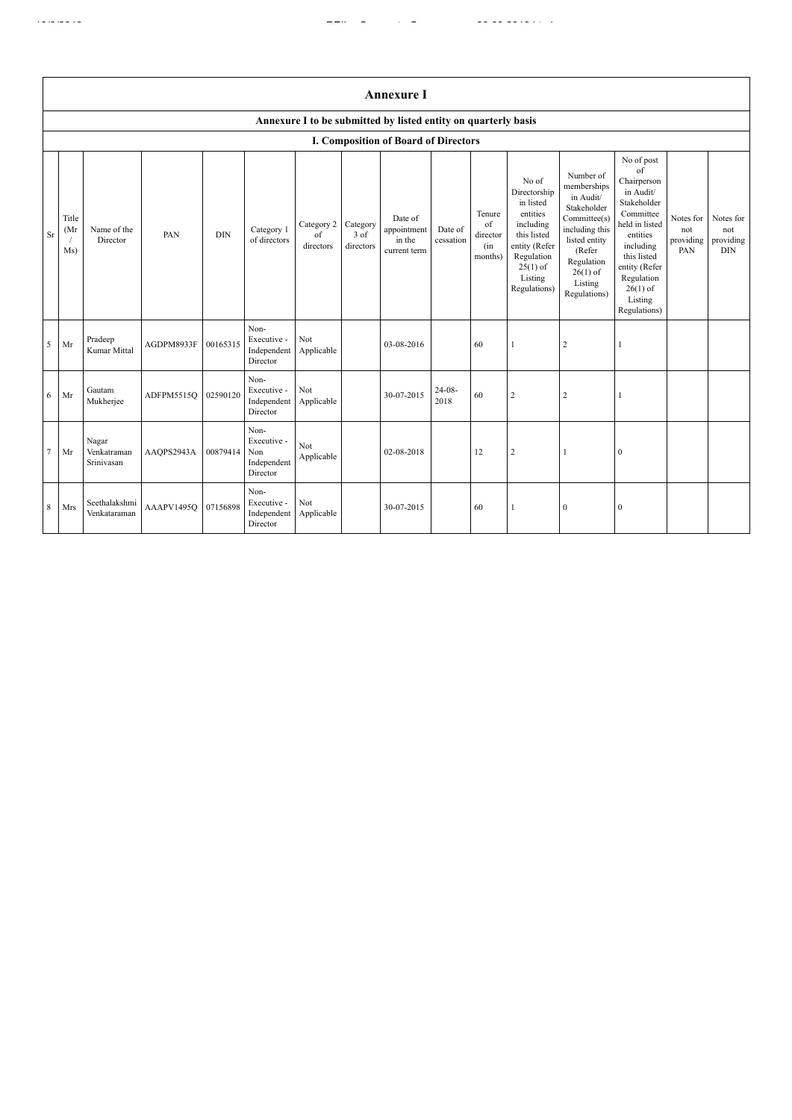|                | <b>Annexure I</b>                                              |                                    |            |            |                                                       |                               |                               |                                                  |                      |                                            |                                                                                                                                                    |                                                                                                                                                                          |                                                                                                                                                                                                            |                                      |                                             |
|----------------|----------------------------------------------------------------|------------------------------------|------------|------------|-------------------------------------------------------|-------------------------------|-------------------------------|--------------------------------------------------|----------------------|--------------------------------------------|----------------------------------------------------------------------------------------------------------------------------------------------------|--------------------------------------------------------------------------------------------------------------------------------------------------------------------------|------------------------------------------------------------------------------------------------------------------------------------------------------------------------------------------------------------|--------------------------------------|---------------------------------------------|
|                | Annexure I to be submitted by listed entity on quarterly basis |                                    |            |            |                                                       |                               |                               |                                                  |                      |                                            |                                                                                                                                                    |                                                                                                                                                                          |                                                                                                                                                                                                            |                                      |                                             |
|                |                                                                |                                    |            |            |                                                       |                               |                               | <b>I. Composition of Board of Directors</b>      |                      |                                            |                                                                                                                                                    |                                                                                                                                                                          |                                                                                                                                                                                                            |                                      |                                             |
| Sr             | Title<br>(Mr)<br>Ms)                                           | Name of the<br>Director            | PAN        | <b>DIN</b> | Category 1<br>of directors                            | Category 2<br>of<br>directors | Category<br>3 of<br>directors | Date of<br>appointment<br>in the<br>current term | Date of<br>cessation | Tenure<br>of<br>director<br>(in<br>months) | No of<br>Directorship<br>in listed<br>entities<br>including<br>this listed<br>entity (Refer<br>Regulation<br>$25(1)$ of<br>Listing<br>Regulations) | Number of<br>memberships<br>in Audit/<br>Stakeholder<br>Committee(s)<br>including this<br>listed entity<br>(Refer<br>Regulation<br>$26(1)$ of<br>Listing<br>Regulations) | No of post<br>of<br>Chairperson<br>in Audit/<br>Stakeholder<br>Committee<br>held in listed<br>entities<br>including<br>this listed<br>entity (Refer<br>Regulation<br>$26(1)$ of<br>Listing<br>Regulations) | Notes for<br>not<br>providing<br>PAN | Notes for<br>not<br>providing<br><b>DIN</b> |
| 5              | Mr                                                             | Pradeep<br>Kumar Mittal            | AGDPM8933F | 00165315   | Non-<br>Executive -<br>Independent<br>Director        | Not<br>Applicable             |                               | 03-08-2016                                       |                      | 60                                         |                                                                                                                                                    | $\overline{c}$                                                                                                                                                           |                                                                                                                                                                                                            |                                      |                                             |
| 6              | Mr                                                             | Gautam<br>Mukherjee                | ADFPM5515Q | 02590120   | Non-<br>Executive -<br>Independent<br>Director        | Not<br>Applicable             |                               | 30-07-2015                                       | $24-08-$<br>2018     | 60                                         | $\overline{c}$                                                                                                                                     | $\overline{2}$                                                                                                                                                           |                                                                                                                                                                                                            |                                      |                                             |
| $\overline{7}$ | Mr                                                             | Nagar<br>Venkatraman<br>Srinivasan | AAQPS2943A | 00879414   | Non-<br>Executive -<br>Non<br>Independent<br>Director | Not<br>Applicable             |                               | 02-08-2018                                       |                      | 12                                         | $\overline{2}$                                                                                                                                     | $\mathbf{1}$                                                                                                                                                             | $\boldsymbol{0}$                                                                                                                                                                                           |                                      |                                             |
| 8              | Mrs                                                            | Seethalakshmi<br>Venkataraman      | AAAPV1495Q | 07156898   | Non-<br>Executive -<br>Independent<br>Director        | Not<br>Applicable             |                               | 30-07-2015                                       |                      | 60                                         | $\mathbf{1}$                                                                                                                                       | $\boldsymbol{0}$                                                                                                                                                         | $\boldsymbol{0}$                                                                                                                                                                                           |                                      |                                             |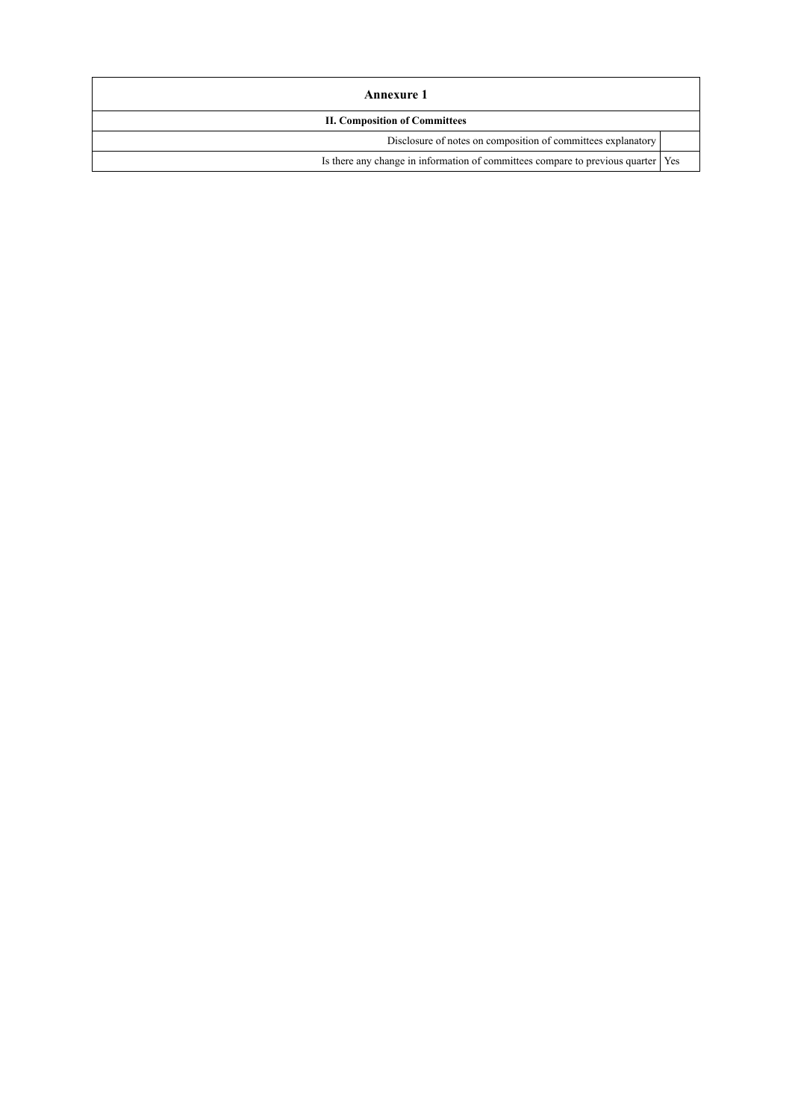| Annexure 1                                                                         |  |  |  |  |
|------------------------------------------------------------------------------------|--|--|--|--|
| <b>II. Composition of Committees</b>                                               |  |  |  |  |
| Disclosure of notes on composition of committees explanatory                       |  |  |  |  |
| Is there any change in information of committees compare to previous quarter   Yes |  |  |  |  |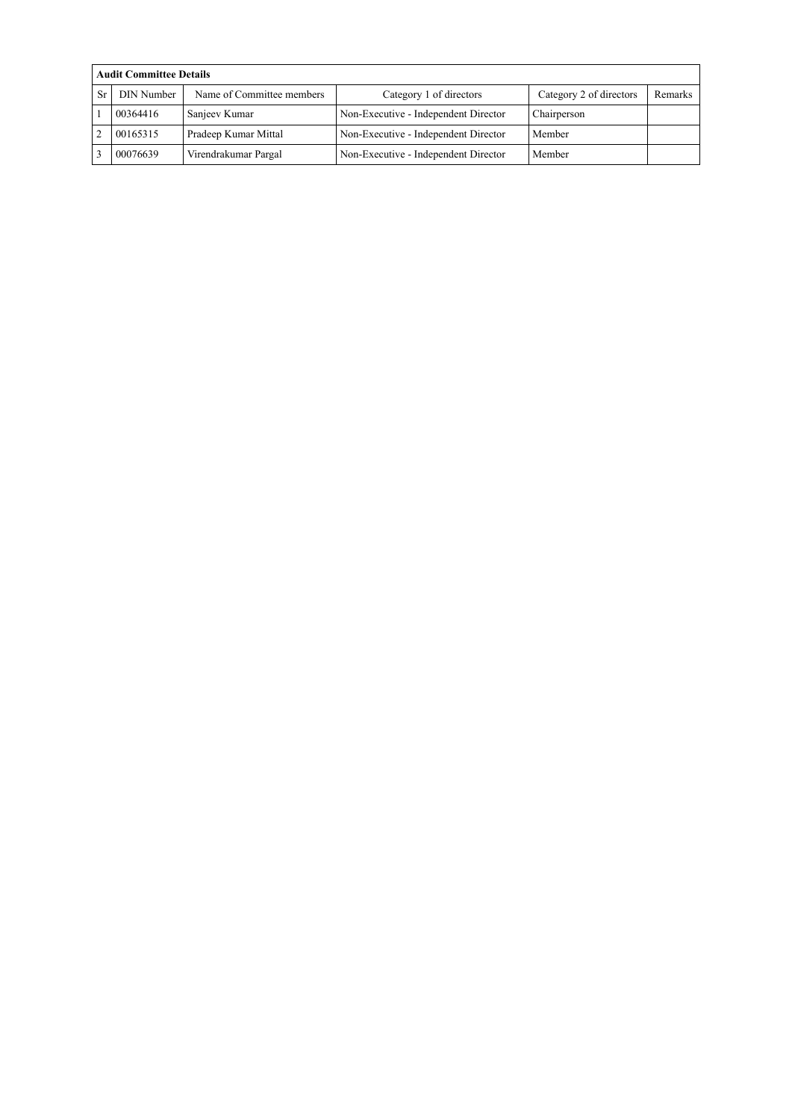|    | <b>Audit Committee Details</b> |                           |                                      |                         |         |  |  |  |  |
|----|--------------------------------|---------------------------|--------------------------------------|-------------------------|---------|--|--|--|--|
| Sr | <b>DIN Number</b>              | Name of Committee members | Category 1 of directors              | Category 2 of directors | Remarks |  |  |  |  |
|    | 00364416                       | Sanjeev Kumar             | Non-Executive - Independent Director | Chairperson             |         |  |  |  |  |
|    | 00165315                       | Pradeep Kumar Mittal      | Non-Executive - Independent Director | Member                  |         |  |  |  |  |
|    | 00076639                       | Virendrakumar Pargal      | Non-Executive - Independent Director | Member                  |         |  |  |  |  |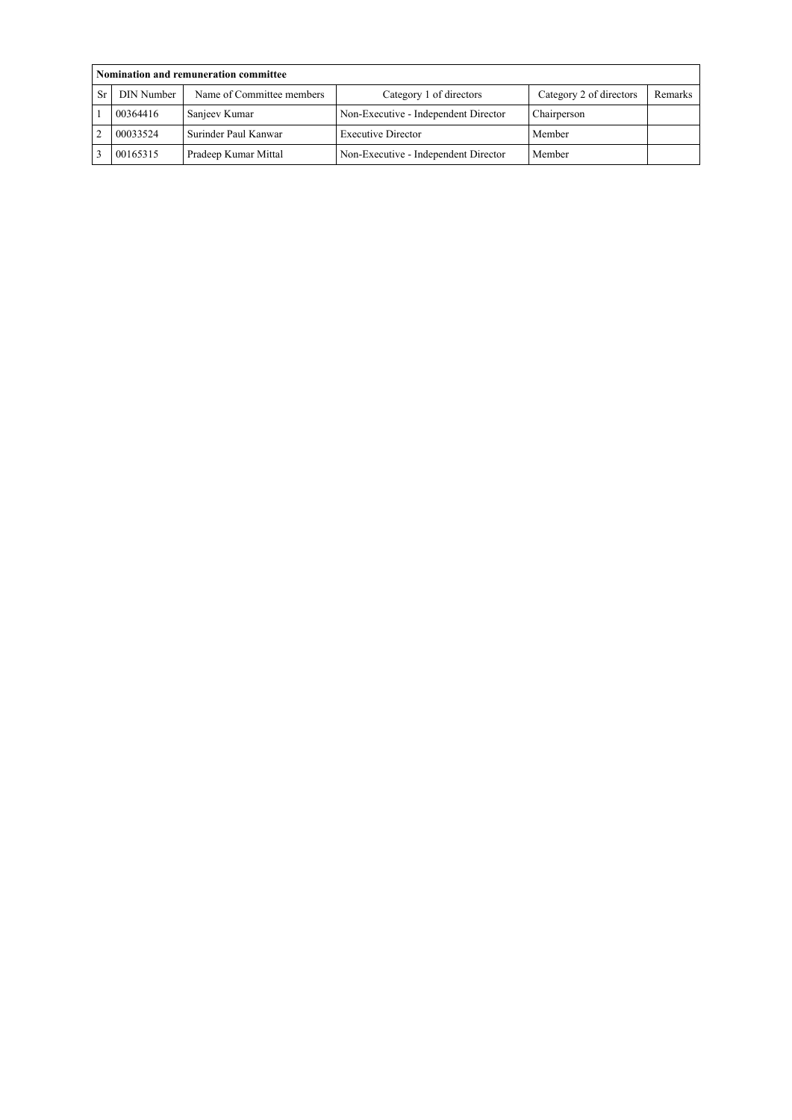|    | Nomination and remuneration committee |                           |                                      |                         |         |  |  |  |  |
|----|---------------------------------------|---------------------------|--------------------------------------|-------------------------|---------|--|--|--|--|
| Sr | <b>DIN Number</b>                     | Name of Committee members | Category 1 of directors              | Category 2 of directors | Remarks |  |  |  |  |
|    | 00364416                              | Sanjeev Kumar             | Non-Executive - Independent Director | Chairperson             |         |  |  |  |  |
|    | 00033524                              | Surinder Paul Kanwar      | <b>Executive Director</b>            | Member                  |         |  |  |  |  |
|    | 00165315                              | Pradeep Kumar Mittal      | Non-Executive - Independent Director | Member                  |         |  |  |  |  |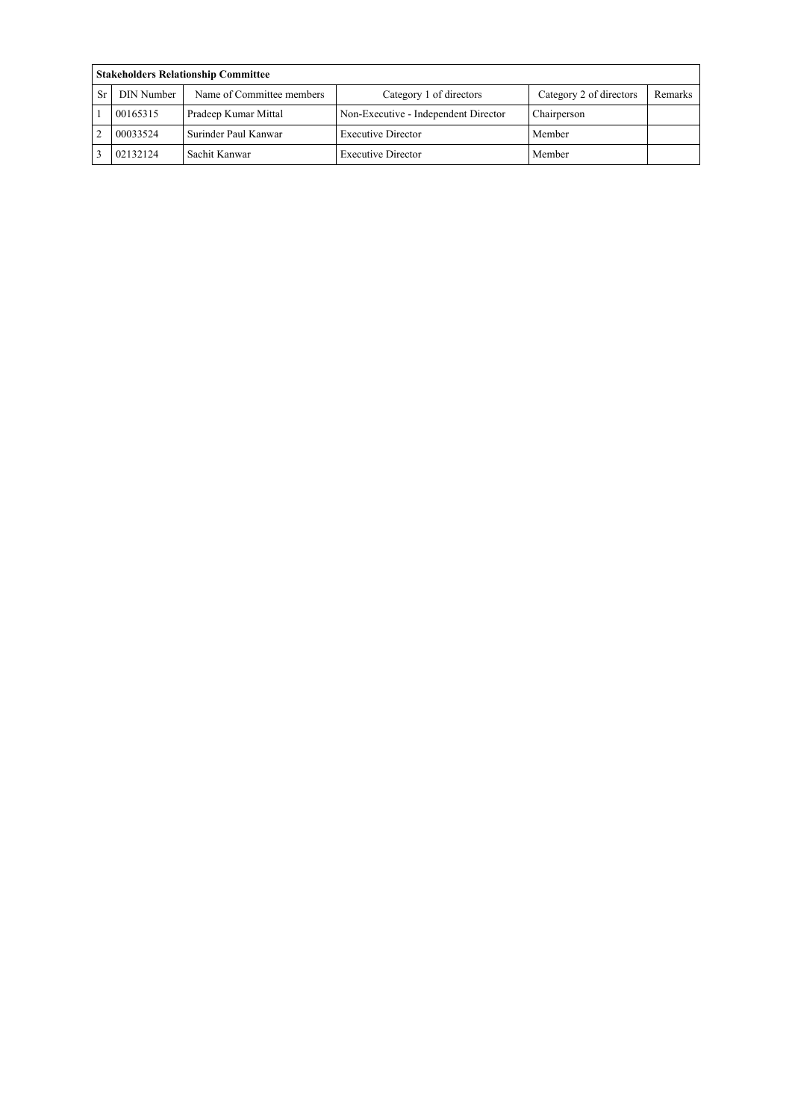|    | <b>Stakeholders Relationship Committee</b> |                           |                                      |                         |         |  |  |  |  |
|----|--------------------------------------------|---------------------------|--------------------------------------|-------------------------|---------|--|--|--|--|
| Sr | <b>DIN Number</b>                          | Name of Committee members | Category 1 of directors              | Category 2 of directors | Remarks |  |  |  |  |
|    | 00165315                                   | Pradeep Kumar Mittal      | Non-Executive - Independent Director | Chairperson             |         |  |  |  |  |
|    | 00033524                                   | Surinder Paul Kanwar      | <b>Executive Director</b>            | Member                  |         |  |  |  |  |
|    | 02132124                                   | Sachit Kanwar             | <b>Executive Director</b>            | Member                  |         |  |  |  |  |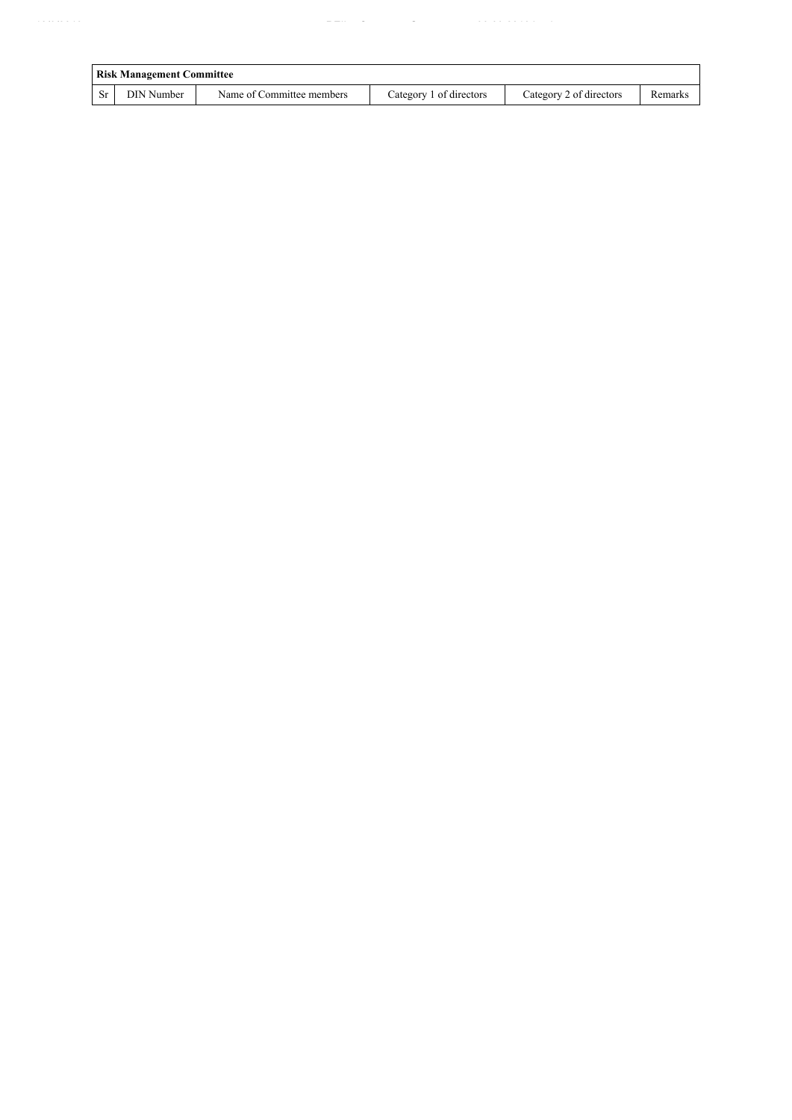|     | <b>Risk Management Committee</b> |                           |                         |                         |         |  |  |  |  |
|-----|----------------------------------|---------------------------|-------------------------|-------------------------|---------|--|--|--|--|
| -Sr | DIN Number                       | Name of Committee members | Category 1 of directors | Category 2 of directors | Remarks |  |  |  |  |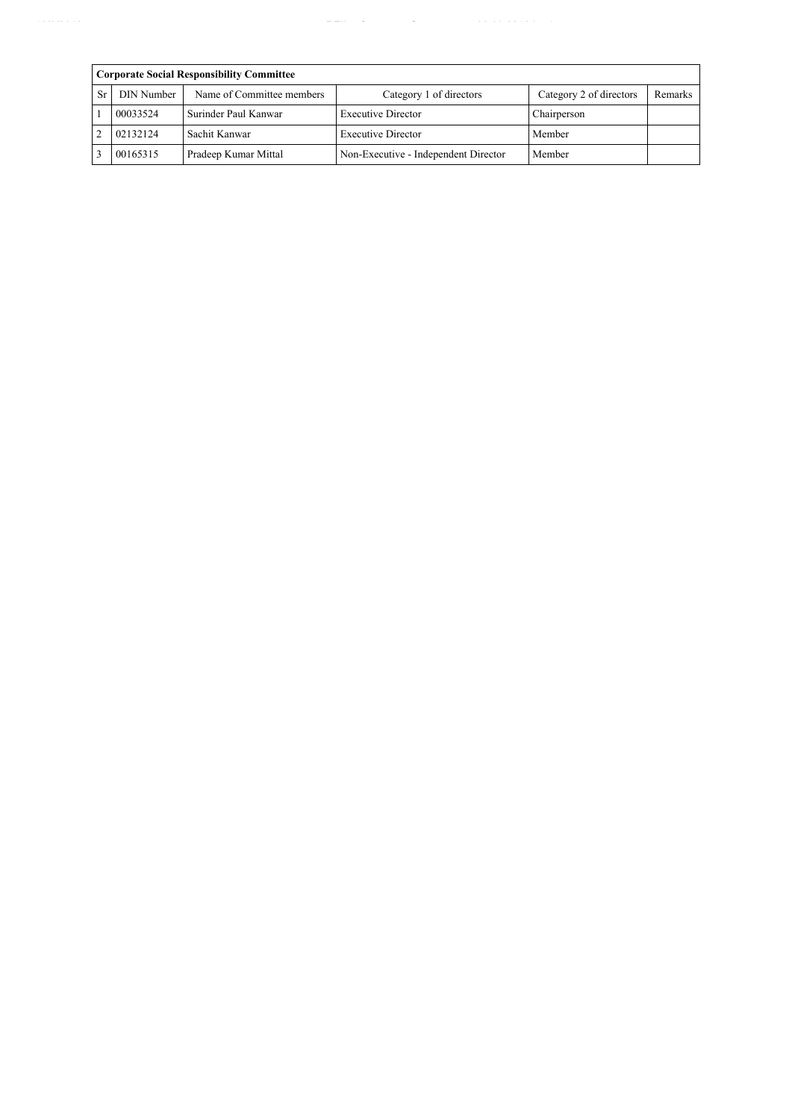|    | <b>Corporate Social Responsibility Committee</b> |                      |                                      |                         |         |  |  |  |  |
|----|--------------------------------------------------|----------------------|--------------------------------------|-------------------------|---------|--|--|--|--|
| Sr | DIN Number<br>Name of Committee members          |                      | Category 1 of directors              | Category 2 of directors | Remarks |  |  |  |  |
|    | 00033524                                         | Surinder Paul Kanwar | <b>Executive Director</b>            | Chairperson             |         |  |  |  |  |
|    | 02132124                                         | Sachit Kanwar        | <b>Executive Director</b>            | Member                  |         |  |  |  |  |
|    | 00165315                                         | Pradeep Kumar Mittal | Non-Executive - Independent Director | Member                  |         |  |  |  |  |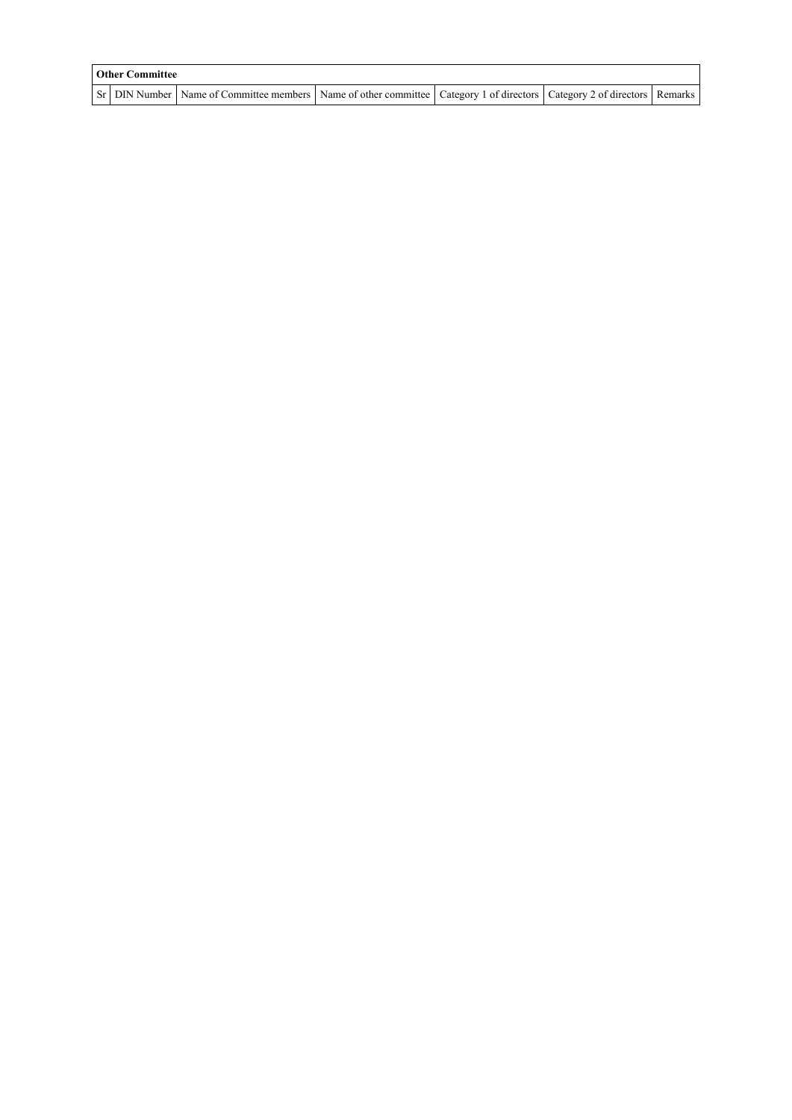| <b>Other Committee</b> |                                                                                                                                     |  |  |  |  |  |  |  |
|------------------------|-------------------------------------------------------------------------------------------------------------------------------------|--|--|--|--|--|--|--|
|                        | Sr   DIN Number   Name of Committee members   Name of other committee   Category 1 of directors   Category 2 of directors   Remarks |  |  |  |  |  |  |  |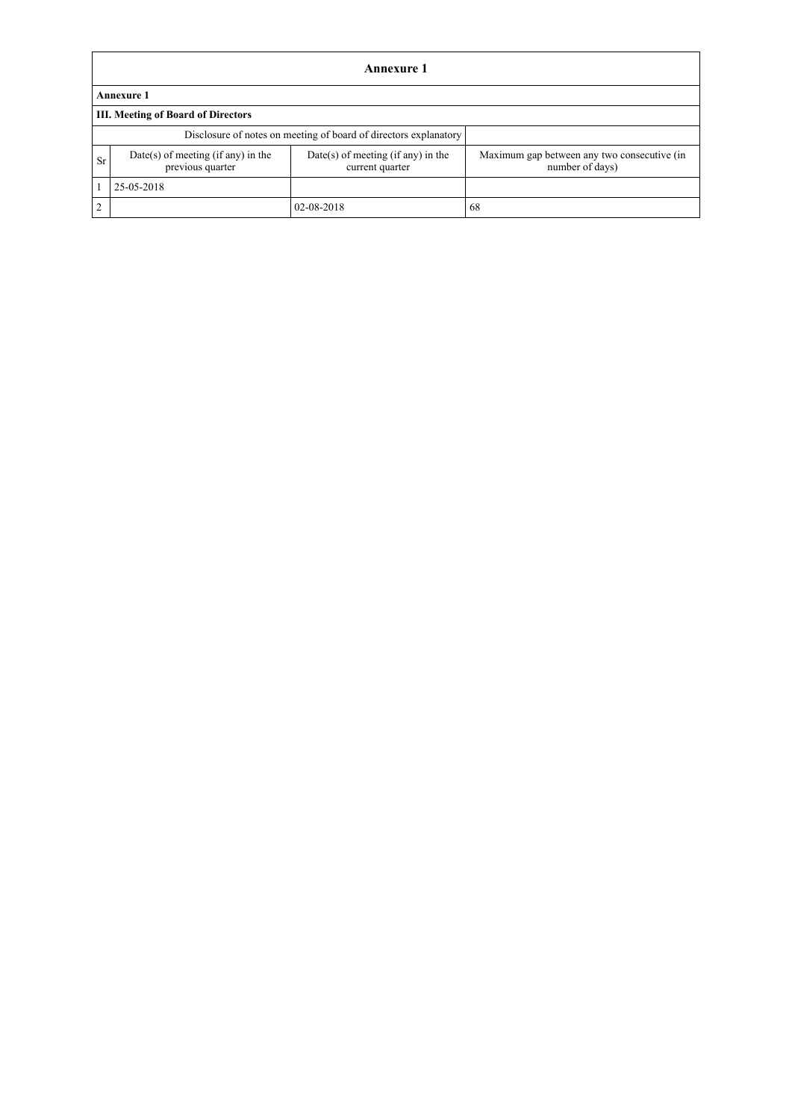|    | Annexure 1                                             |                                                                  |                                                                |  |  |  |  |  |  |
|----|--------------------------------------------------------|------------------------------------------------------------------|----------------------------------------------------------------|--|--|--|--|--|--|
|    | <b>Annexure 1</b>                                      |                                                                  |                                                                |  |  |  |  |  |  |
|    | <b>III. Meeting of Board of Directors</b>              |                                                                  |                                                                |  |  |  |  |  |  |
|    |                                                        | Disclosure of notes on meeting of board of directors explanatory |                                                                |  |  |  |  |  |  |
| Sr | Date(s) of meeting (if any) in the<br>previous quarter | $Date(s)$ of meeting (if any) in the<br>current quarter          | Maximum gap between any two consecutive (in<br>number of days) |  |  |  |  |  |  |
|    | 25-05-2018                                             |                                                                  |                                                                |  |  |  |  |  |  |
| 2  |                                                        | 02-08-2018                                                       | 68                                                             |  |  |  |  |  |  |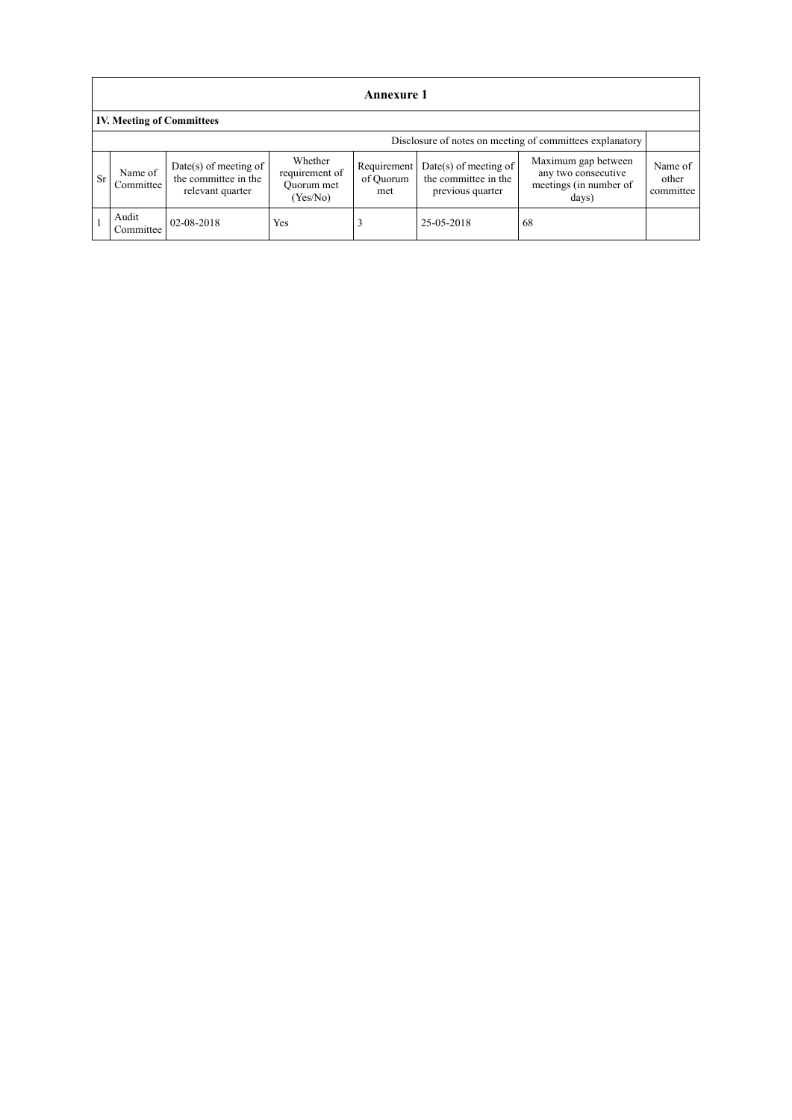|    | <b>Annexure 1</b>                                        |                                                                   |                                                     |                                 |                                                                     |                                                                               |                               |  |  |  |
|----|----------------------------------------------------------|-------------------------------------------------------------------|-----------------------------------------------------|---------------------------------|---------------------------------------------------------------------|-------------------------------------------------------------------------------|-------------------------------|--|--|--|
|    | <b>IV. Meeting of Committees</b>                         |                                                                   |                                                     |                                 |                                                                     |                                                                               |                               |  |  |  |
|    | Disclosure of notes on meeting of committees explanatory |                                                                   |                                                     |                                 |                                                                     |                                                                               |                               |  |  |  |
| Sr | Name of<br>Committee                                     | Date(s) of meeting of<br>the committee in the<br>relevant quarter | Whether<br>requirement of<br>Quorum met<br>(Yes/No) | Requirement<br>of Quorum<br>met | $Date(s)$ of meeting of<br>the committee in the<br>previous quarter | Maximum gap between<br>any two consecutive<br>meetings (in number of<br>days) | Name of<br>other<br>committee |  |  |  |
|    | Audit<br>Committee                                       | 02-08-2018                                                        | Yes                                                 |                                 | 25-05-2018                                                          | 68                                                                            |                               |  |  |  |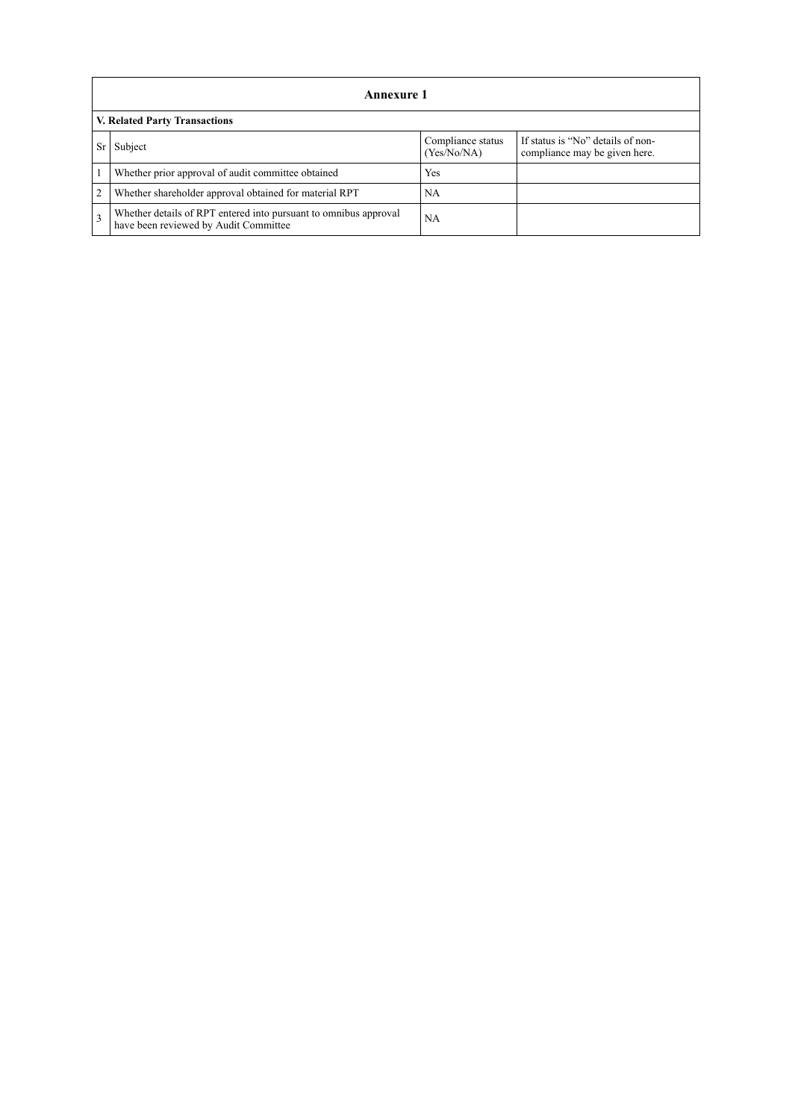|                                      | Annexure 1                                                                                                |                                  |                                                                    |
|--------------------------------------|-----------------------------------------------------------------------------------------------------------|----------------------------------|--------------------------------------------------------------------|
| <b>V. Related Party Transactions</b> |                                                                                                           |                                  |                                                                    |
|                                      | Subject                                                                                                   | Compliance status<br>(Yes/No/NA) | If status is "No" details of non-<br>compliance may be given here. |
|                                      | Whether prior approval of audit committee obtained                                                        | Yes                              |                                                                    |
| $\overline{2}$                       | Whether shareholder approval obtained for material RPT                                                    | NA                               |                                                                    |
| $\mathcal{R}$                        | Whether details of RPT entered into pursuant to omnibus approval<br>have been reviewed by Audit Committee | NA                               |                                                                    |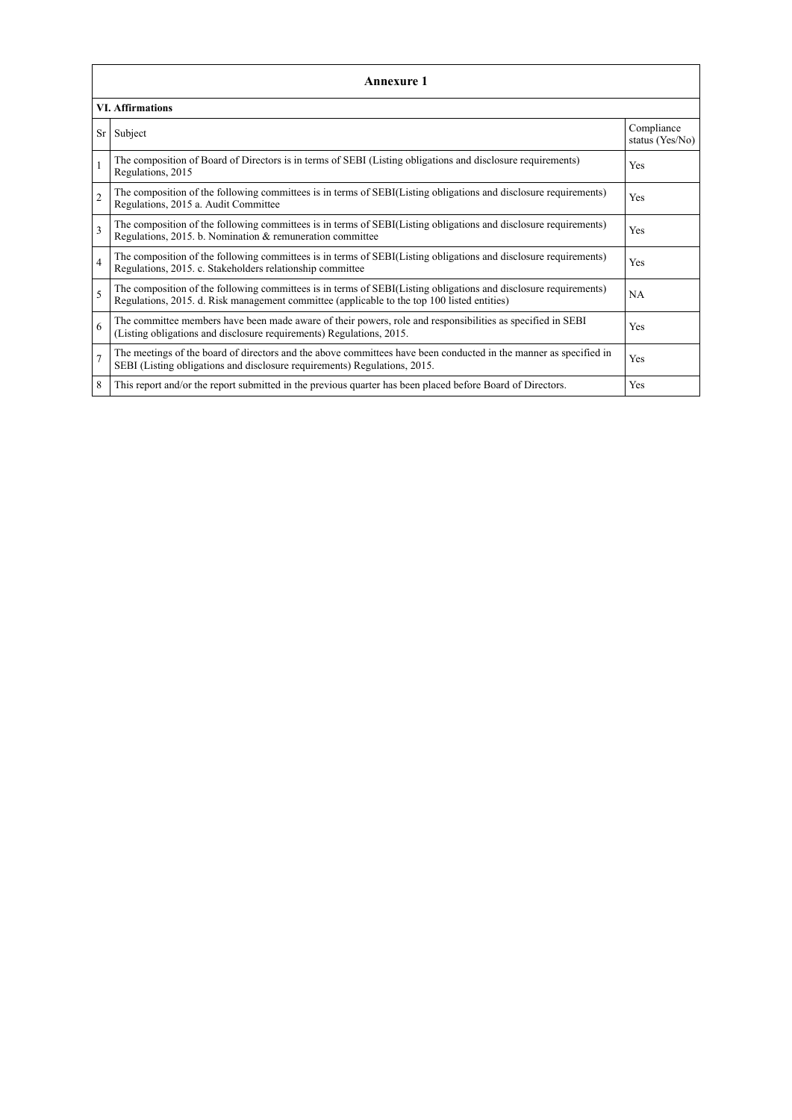| <b>Annexure 1</b> |                                                                                                                                                                                                                 |                               |  |  |
|-------------------|-----------------------------------------------------------------------------------------------------------------------------------------------------------------------------------------------------------------|-------------------------------|--|--|
|                   | <b>VI. Affirmations</b>                                                                                                                                                                                         |                               |  |  |
| Sr <sub>1</sub>   | Subject                                                                                                                                                                                                         | Compliance<br>status (Yes/No) |  |  |
| $\mathbf{1}$      | The composition of Board of Directors is in terms of SEBI (Listing obligations and disclosure requirements)<br>Regulations, 2015                                                                                | Yes                           |  |  |
| $\mathfrak{2}$    | The composition of the following committees is in terms of SEBI(Listing obligations and disclosure requirements)<br>Regulations, 2015 a. Audit Committee                                                        | Yes                           |  |  |
| 3                 | The composition of the following committees is in terms of SEBI(Listing obligations and disclosure requirements)<br>Regulations, 2015. b. Nomination & remuneration committee                                   | Yes                           |  |  |
| $\overline{4}$    | The composition of the following committees is in terms of SEBI(Listing obligations and disclosure requirements)<br>Regulations, 2015. c. Stakeholders relationship committee                                   | Yes                           |  |  |
| 5                 | The composition of the following committees is in terms of SEBI(Listing obligations and disclosure requirements)<br>Regulations, 2015. d. Risk management committee (applicable to the top 100 listed entities) | NA                            |  |  |
| 6                 | The committee members have been made aware of their powers, role and responsibilities as specified in SEBI<br>(Listing obligations and disclosure requirements) Regulations, 2015.                              | Yes                           |  |  |
| $\overline{7}$    | The meetings of the board of directors and the above committees have been conducted in the manner as specified in<br>SEBI (Listing obligations and disclosure requirements) Regulations, 2015.                  | Yes                           |  |  |
| 8                 | This report and/or the report submitted in the previous quarter has been placed before Board of Directors.                                                                                                      | Yes                           |  |  |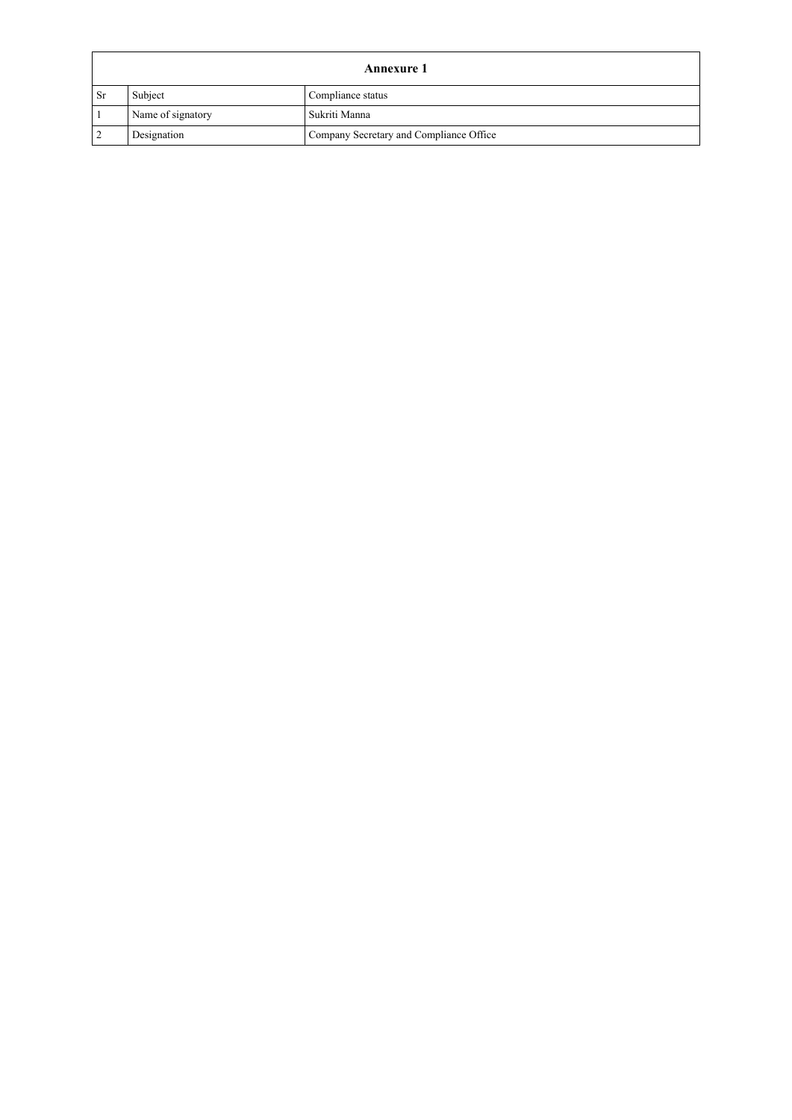|      | Annexure 1        |                                         |  |
|------|-------------------|-----------------------------------------|--|
| - Sr | Subject           | Compliance status                       |  |
|      | Name of signatory | Sukriti Manna                           |  |
|      | Designation       | Company Secretary and Compliance Office |  |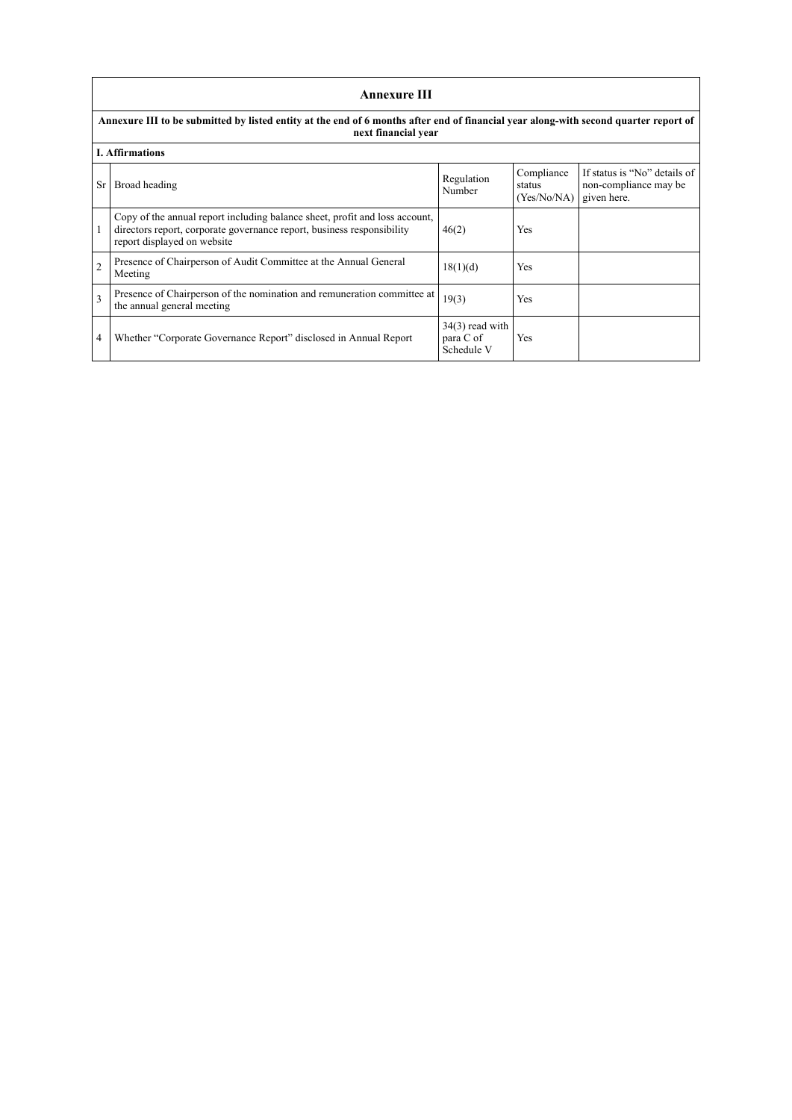|                                                                                                                                                             | <b>Annexure III</b>                                                                                                                                                                  |                                              |                                     |                                                                      |
|-------------------------------------------------------------------------------------------------------------------------------------------------------------|--------------------------------------------------------------------------------------------------------------------------------------------------------------------------------------|----------------------------------------------|-------------------------------------|----------------------------------------------------------------------|
| Annexure III to be submitted by listed entity at the end of 6 months after end of financial year along-with second quarter report of<br>next financial year |                                                                                                                                                                                      |                                              |                                     |                                                                      |
|                                                                                                                                                             | <b>I.</b> Affirmations                                                                                                                                                               |                                              |                                     |                                                                      |
| <b>Sr</b>                                                                                                                                                   | Broad heading                                                                                                                                                                        | Regulation<br>Number                         | Compliance<br>status<br>(Yes/No/NA) | If status is "No" details of<br>non-compliance may be<br>given here. |
|                                                                                                                                                             | Copy of the annual report including balance sheet, profit and loss account,<br>directors report, corporate governance report, business responsibility<br>report displayed on website | 46(2)                                        | <b>Yes</b>                          |                                                                      |
| $\overline{2}$                                                                                                                                              | Presence of Chairperson of Audit Committee at the Annual General<br>Meeting                                                                                                          | 18(1)(d)                                     | <b>Yes</b>                          |                                                                      |
| $\mathbf{3}$                                                                                                                                                | Presence of Chairperson of the nomination and remuneration committee at<br>the annual general meeting                                                                                | 19(3)                                        | <b>Yes</b>                          |                                                                      |
| 4                                                                                                                                                           | Whether "Corporate Governance Report" disclosed in Annual Report                                                                                                                     | $34(3)$ read with<br>para C of<br>Schedule V | Yes                                 |                                                                      |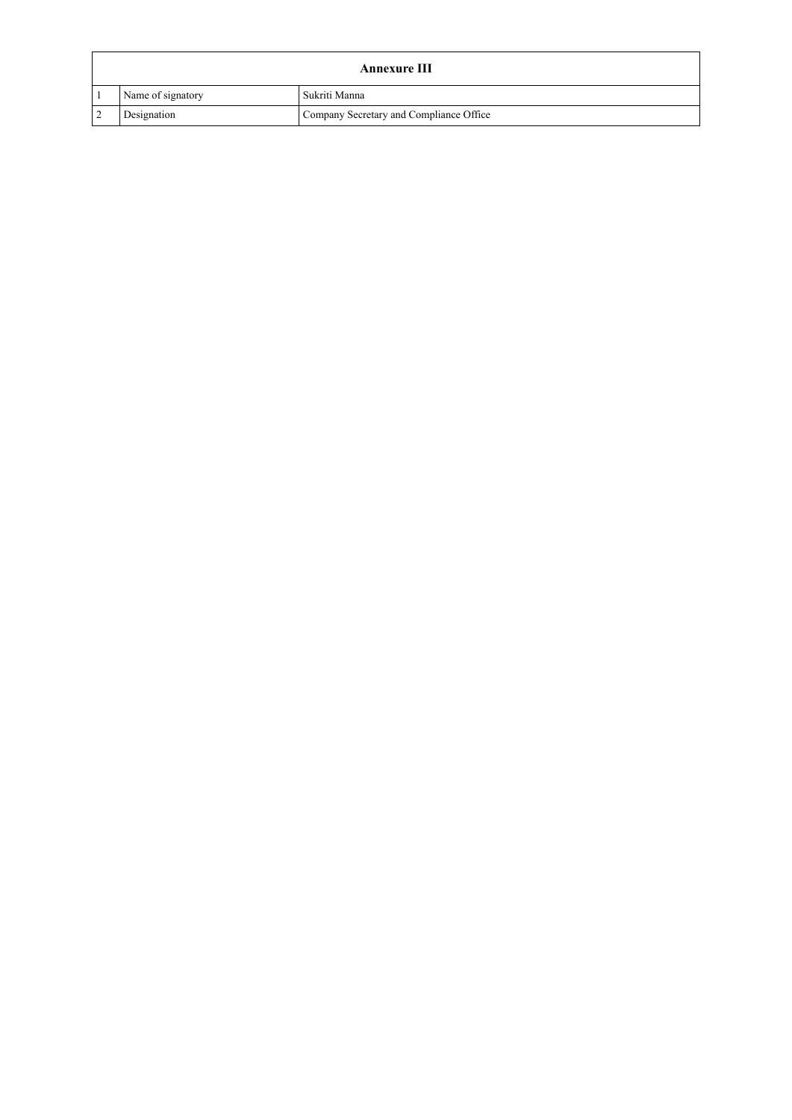| <b>Annexure III</b> |                                         |  |
|---------------------|-----------------------------------------|--|
| Name of signatory   | Sukriti Manna                           |  |
| Designation         | Company Secretary and Compliance Office |  |